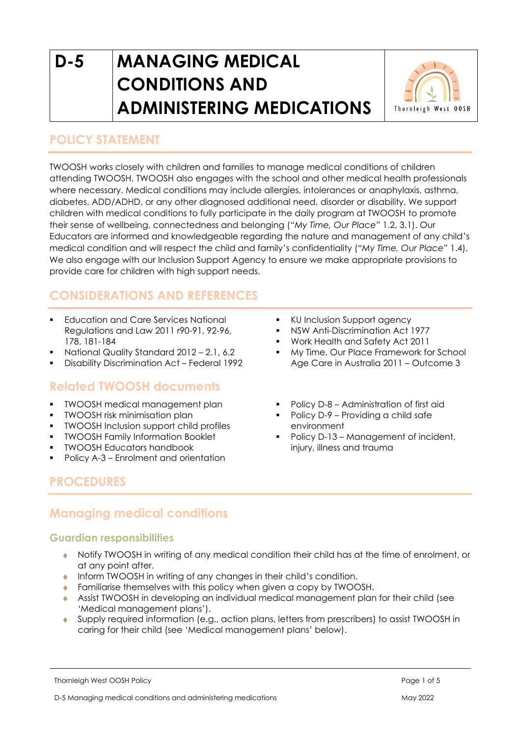# **D-5 MANAGING MEDICAL CONDITIONS AND ADMINISTERING MEDICATIONS**



## **POLICY STATEMENT**

TWOOSH works closely with children and families to manage medical conditions of children attending TWOOSH. TWOOSH also engages with the school and other medical health professionals where necessary. Medical conditions may include allergies, intolerances or anaphylaxis, asthma, diabetes, ADD/ADHD, or any other diagnosed additional need, disorder or disability. We support children with medical conditions to fully participate in the daily program at TWOOSH to promote their sense of wellbeing, connectedness and belonging (*"My Time, Our Place"* 1.2, 3.1). Our Educators are informed and knowledgeable regarding the nature and management of any child's medical condition and will respect the child and family's confidentiality (*"My Time, Our Place"* 1.4). We also engage with our Inclusion Support Agency to ensure we make appropriate provisions to provide care for children with high support needs.

# **CONSIDERATIONS AND REFERENCES**

- **Education and Care Services National** Regulations and Law 2011 r90-91, 92-96, 178, 181-184
- National Quality Standard 2012 2.1, 6.2
- Disability Discrimination Act Federal 1992

## **Related TWOOSH documents**

- TWOOSH medical management plan
- TWOOSH risk minimisation plan
- **TWOOSH Inclusion support child profiles**
- TWOOSH Family Information Booklet
- TWOOSH Educators handbook
- Policy A-3 Enrolment and orientation
- KU Inclusion Support agency
- **NSW Anti-Discrimination Act 1977**
- Work Health and Safety Act 2011
- My Time, Our Place Framework for School Age Care in Australia 2011 – Outcome 3
- Policy D-8 Administration of first aid
- Policy D-9 Providing a child safe environment
- Policy D-13 Management of incident, injury, illness and trauma

# **PROCEDURES**

# **Managing medical conditions**

#### **Guardian responsibilities**

- Notify TWOOSH in writing of any medical condition their child has at the time of enrolment, or at any point after.
- **Inform TWOOSH in writing of any changes in their child's condition.**
- **Familiarise themselves with this policy when given a copy by TWOOSH.**
- Assist TWOOSH in developing an individual medical management plan for their child (see 'Medical management plans').
- Supply required information (e.g., action plans, letters from prescribers) to assist TWOOSH in caring for their child (see 'Medical management plans' below).

Thornleigh West OOSH Policy Page 1 of 5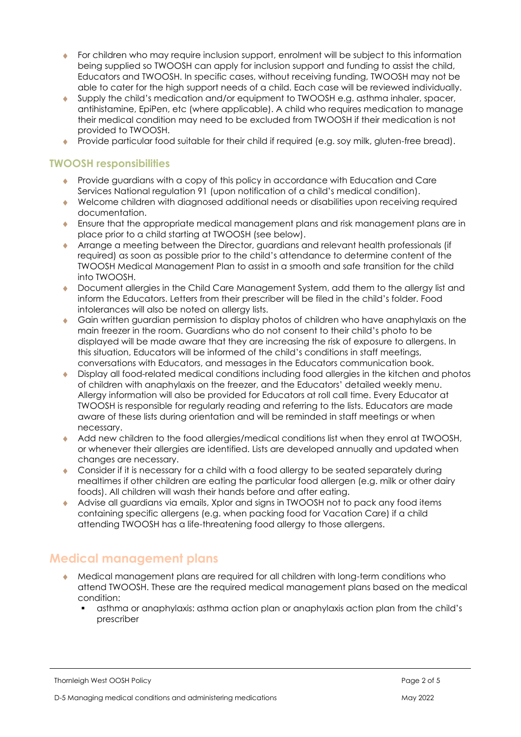- For children who may require inclusion support, enrolment will be subject to this information being supplied so TWOOSH can apply for inclusion support and funding to assist the child, Educators and TWOOSH. In specific cases, without receiving funding, TWOOSH may not be able to cater for the high support needs of a child. Each case will be reviewed individually.
- Supply the child's medication and/or equipment to TWOOSH e.g. asthma inhaler, spacer, antihistamine, EpiPen, etc (where applicable). A child who requires medication to manage their medical condition may need to be excluded from TWOOSH if their medication is not provided to TWOOSH.
- Provide particular food suitable for their child if required (e.g. soy milk, gluten-free bread).

#### **TWOOSH responsibilities**

- Provide guardians with a copy of this policy in accordance with Education and Care Services National regulation 91 (upon notification of a child's medical condition).
- Welcome children with diagnosed additional needs or disabilities upon receiving required documentation.
- Ensure that the appropriate medical management plans and risk management plans are in place prior to a child starting at TWOOSH (see below).
- Arrange a meeting between the Director, guardians and relevant health professionals (if required) as soon as possible prior to the child's attendance to determine content of the TWOOSH Medical Management Plan to assist in a smooth and safe transition for the child into TWOOSH.
- Document allergies in the Child Care Management System, add them to the allergy list and inform the Educators. Letters from their prescriber will be filed in the child's folder. Food intolerances will also be noted on allergy lists.
- Gain written guardian permission to display photos of children who have anaphylaxis on the main freezer in the room. Guardians who do not consent to their child's photo to be displayed will be made aware that they are increasing the risk of exposure to allergens. In this situation, Educators will be informed of the child's conditions in staff meetings, conversations with Educators, and messages in the Educators communication book.
- Display all food-related medical conditions including food allergies in the kitchen and photos of children with anaphylaxis on the freezer, and the Educators' detailed weekly menu. Allergy information will also be provided for Educators at roll call time. Every Educator at TWOOSH is responsible for regularly reading and referring to the lists. Educators are made aware of these lists during orientation and will be reminded in staff meetings or when necessary.
- Add new children to the food allergies/medical conditions list when they enrol at TWOOSH, or whenever their allergies are identified. Lists are developed annually and updated when changes are necessary.
- Consider if it is necessary for a child with a food allergy to be seated separately during mealtimes if other children are eating the particular food allergen (e.g. milk or other dairy foods). All children will wash their hands before and after eating.
- Advise all guardians via emails, Xplor and signs in TWOOSH not to pack any food items containing specific allergens (e.g. when packing food for Vacation Care) if a child attending TWOOSH has a life-threatening food allergy to those allergens.

## **Medical management plans**

- Medical management plans are required for all children with long-term conditions who attend TWOOSH. These are the required medical management plans based on the medical condition:
	- asthma or anaphylaxis: asthma action plan or anaphylaxis action plan from the child's prescriber

Thornleigh West OOSH Policy Page 2 of 5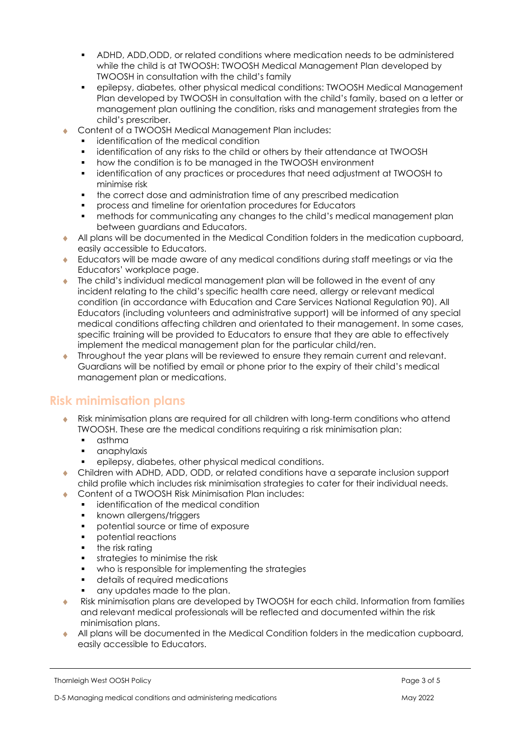- ADHD, ADD,ODD, or related conditions where medication needs to be administered while the child is at TWOOSH: TWOOSH Medical Management Plan developed by TWOOSH in consultation with the child's family
- epilepsy, diabetes, other physical medical conditions: TWOOSH Medical Management Plan developed by TWOOSH in consultation with the child's family, based on a letter or management plan outlining the condition, risks and management strategies from the child's prescriber.
- Content of a TWOOSH Medical Management Plan includes:
	- identification of the medical condition
	- identification of any risks to the child or others by their attendance at TWOOSH
	- how the condition is to be managed in the TWOOSH environment
	- identification of any practices or procedures that need adjustment at TWOOSH to minimise risk
	- the correct dose and administration time of any prescribed medication
	- process and timeline for orientation procedures for Educators
	- methods for communicating any changes to the child's medical management plan between guardians and Educators.
- All plans will be documented in the Medical Condition folders in the medication cupboard, easily accessible to Educators.
- Educators will be made aware of any medical conditions during staff meetings or via the Educators' workplace page.
- The child's individual medical management plan will be followed in the event of any incident relating to the child's specific health care need, allergy or relevant medical condition (in accordance with Education and Care Services National Regulation 90). All Educators (including volunteers and administrative support) will be informed of any special medical conditions affecting children and orientated to their management. In some cases, specific training will be provided to Educators to ensure that they are able to effectively implement the medical management plan for the particular child/ren.
- Throughout the year plans will be reviewed to ensure they remain current and relevant. Guardians will be notified by email or phone prior to the expiry of their child's medical management plan or medications.

## **Risk minimisation plans**

- Risk minimisation plans are required for all children with long-term conditions who attend TWOOSH. These are the medical conditions requiring a risk minimisation plan:
	- asthma
	- anaphylaxis
	- epilepsy, diabetes, other physical medical conditions.
- Children with ADHD, ADD, ODD, or related conditions have a separate inclusion support child profile which includes risk minimisation strategies to cater for their individual needs.
- ◆ Content of a TWOOSH Risk Minimisation Plan includes:
	- identification of the medical condition
	- **•** known allergens/triggers
	- potential source or time of exposure
	- potential reactions
	- **•** the risk rating
	- **•** strategies to minimise the risk
	- who is responsible for implementing the strategies
	- details of required medications
	- any updates made to the plan.
- Risk minimisation plans are developed by TWOOSH for each child. Information from families and relevant medical professionals will be reflected and documented within the risk minimisation plans.
- All plans will be documented in the Medical Condition folders in the medication cupboard, easily accessible to Educators.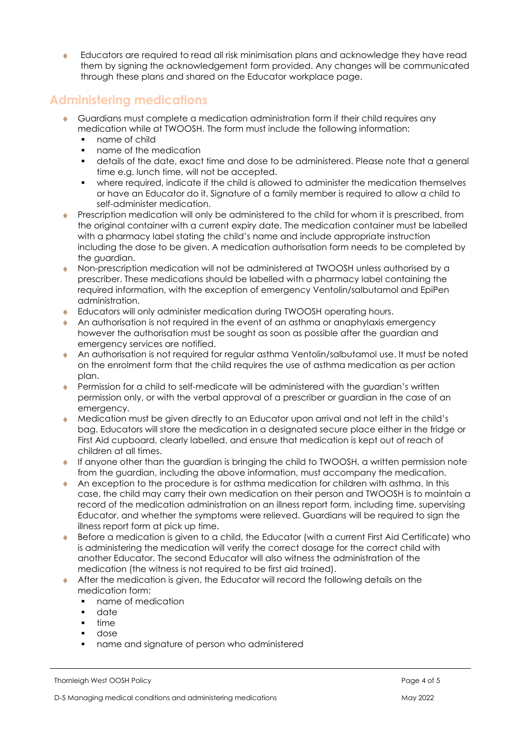Educators are required to read all risk minimisation plans and acknowledge they have read them by signing the acknowledgement form provided. Any changes will be communicated through these plans and shared on the Educator workplace page.

# **Administering medications**

- Guardians must complete a medication administration form if their child requires any medication while at TWOOSH. The form must include the following information:
	- name of child
	- name of the medication
	- details of the date, exact time and dose to be administered. Please note that a general time e.g. lunch time, will not be accepted.
	- where required, indicate if the child is allowed to administer the medication themselves or have an Educator do it. Signature of a family member is required to allow a child to self-administer medication.
- Prescription medication will only be administered to the child for whom it is prescribed, from the original container with a current expiry date. The medication container must be labelled with a pharmacy label stating the child's name and include appropriate instruction including the dose to be given. A medication authorisation form needs to be completed by the auardian.
- Non-prescription medication will not be administered at TWOOSH unless authorised by a prescriber. These medications should be labelled with a pharmacy label containing the required information, with the exception of emergency Ventolin/salbutamol and EpiPen administration.
- Educators will only administer medication during TWOOSH operating hours.
- An authorisation is not required in the event of an asthma or anaphylaxis emergency however the authorisation must be sought as soon as possible after the guardian and emergency services are notified.
- An authorisation is not required for regular asthma Ventolin/salbutamol use. It must be noted on the enrolment form that the child requires the use of asthma medication as per action plan.
- Permission for a child to self-medicate will be administered with the guardian's written permission only, or with the verbal approval of a prescriber or guardian in the case of an emergency.
- Medication must be given directly to an Educator upon arrival and not left in the child's bag. Educators will store the medication in a designated secure place either in the fridge or First Aid cupboard, clearly labelled, and ensure that medication is kept out of reach of children at all times.
- If anyone other than the guardian is bringing the child to TWOOSH, a written permission note from the guardian, including the above information, must accompany the medication.
- An exception to the procedure is for asthma medication for children with asthma. In this case, the child may carry their own medication on their person and TWOOSH is to maintain a record of the medication administration on an illness report form, including time, supervising Educator, and whether the symptoms were relieved. Guardians will be required to sign the illness report form at pick up time.
- Before a medication is given to a child, the Educator (with a current First Aid Certificate) who is administering the medication will verify the correct dosage for the correct child with another Educator. The second Educator will also witness the administration of the medication (the witness is not required to be first aid trained).
- After the medication is given, the Educator will record the following details on the medication form:
	- name of medication
	- date
	- time
	- dose
	- name and signature of person who administered